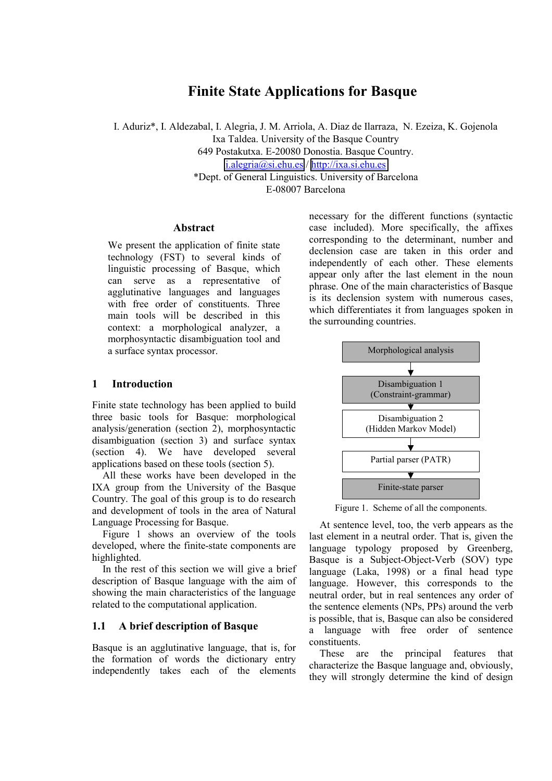# **Finite State Applications for Basque**

I. Aduriz\*, I. Aldezabal, I. Alegria, J. M. Arriola, A. Diaz de Ilarraza, N. Ezeiza, K. Gojenola Ixa Taldea. University of the Basque Country 649 Postakutxa. E-20080 Donostia. Basque Country. [i.alegria@si.ehu.es](mailto:i.alegria@si.ehu.es) / [http://ixa.si.ehu.es](http://ixa.si.ehu.es/) \*Dept. of General Linguistics. University of Barcelona

E-08007 Barcelona

#### **Abstract**

We present the application of finite state technology (FST) to several kinds of linguistic processing of Basque, which can serve as a representative of agglutinative languages and languages with free order of constituents. Three main tools will be described in this context: a morphological analyzer, a morphosyntactic disambiguation tool and a surface syntax processor.

#### **1 Introduction**

Finite state technology has been applied to build three basic tools for Basque: morphological analysis/generation (section 2), morphosyntactic disambiguation (section 3) and surface syntax (section 4). We have developed several applications based on these tools (section 5).

All these works have been developed in the IXA group from the University of the Basque Country. The goal of this group is to do research and development of tools in the area of Natural Language Processing for Basque.

Figure 1 shows an overview of the tools developed, where the finite-state components are highlighted.

In the rest of this section we will give a brief description of Basque language with the aim of showing the main characteristics of the language related to the computational application.

#### **1.1 A brief description of Basque**

Basque is an agglutinative language, that is, for the formation of words the dictionary entry independently takes each of the elements necessary for the different functions (syntactic case included). More specifically, the affixes corresponding to the determinant, number and declension case are taken in this order and independently of each other. These elements appear only after the last element in the noun phrase. One of the main characteristics of Basque is its declension system with numerous cases, which differentiates it from languages spoken in the surrounding countries.



Figure 1. Scheme of all the components.

At sentence level, too, the verb appears as the last element in a neutral order. That is, given the language typology proposed by Greenberg, Basque is a Subject-Object-Verb (SOV) type language (Laka, 1998) or a final head type language. However, this corresponds to the neutral order, but in real sentences any order of the sentence elements (NPs, PPs) around the verb is possible, that is, Basque can also be considered a language with free order of sentence constituents.

These are the principal features that characterize the Basque language and, obviously, they will strongly determine the kind of design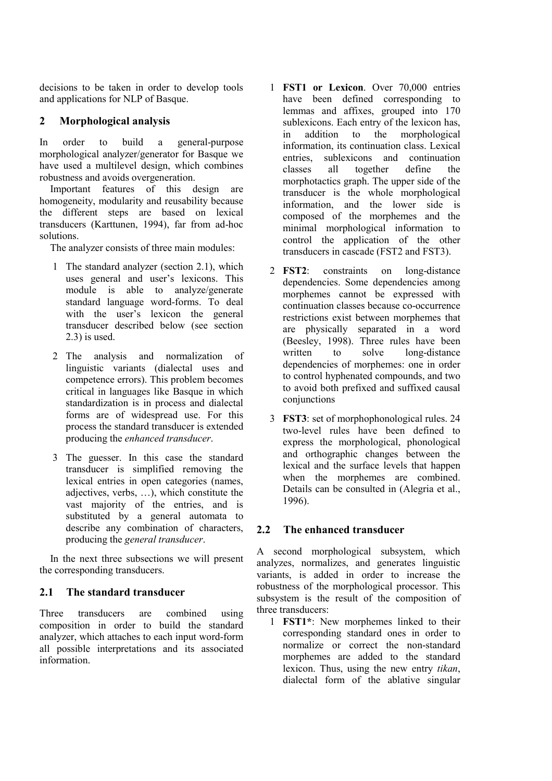decisions to be taken in order to develop tools and applications for NLP of Basque.

# **2 Morphological analysis**

In order to build a general-purpose morphological analyzer/generator for Basque we have used a multilevel design, which combines robustness and avoids overgeneration.

Important features of this design are homogeneity, modularity and reusability because the different steps are based on lexical transducers (Karttunen, 1994), far from ad-hoc solutions.

The analyzer consists of three main modules:

- 1 The standard analyzer (section 2.1), which uses general and user's lexicons. This module is able to analyze/generate standard language word-forms. To deal with the user's lexicon the general transducer described below (see section 2.3) is used.
- 2 The analysis and normalization of linguistic variants (dialectal uses and competence errors). This problem becomes critical in languages like Basque in which standardization is in process and dialectal forms are of widespread use. For this process the standard transducer is extended producing the *enhanced transducer*.
- 3 The guesser. In this case the standard transducer is simplified removing the lexical entries in open categories (names, adjectives, verbs, …), which constitute the vast majority of the entries, and is substituted by a general automata to describe any combination of characters, producing the *general transducer*.

In the next three subsections we will present the corresponding transducers.

# **2.1 The standard transducer**

Three transducers are combined using composition in order to build the standard analyzer, which attaches to each input word-form all possible interpretations and its associated information.

- 1 **FST1 or Lexicon**. Over 70,000 entries have been defined corresponding to lemmas and affixes, grouped into 170 sublexicons. Each entry of the lexicon has, in addition to the morphological information, its continuation class. Lexical entries, sublexicons and continuation classes all together define the morphotactics graph. The upper side of the transducer is the whole morphological information, and the lower side is composed of the morphemes and the minimal morphological information to control the application of the other transducers in cascade (FST2 and FST3).
- 2 **FST2**: constraints on long-distance dependencies. Some dependencies among morphemes cannot be expressed with continuation classes because co-occurrence restrictions exist between morphemes that are physically separated in a word (Beesley, 1998). Three rules have been written to solve long-distance dependencies of morphemes: one in order to control hyphenated compounds, and two to avoid both prefixed and suffixed causal conjunctions
- 3 **FST3**: set of morphophonological rules. 24 two-level rules have been defined to express the morphological, phonological and orthographic changes between the lexical and the surface levels that happen when the morphemes are combined. Details can be consulted in (Alegria et al., 1996).

# **2.2 The enhanced transducer**

A second morphological subsystem, which analyzes, normalizes, and generates linguistic variants, is added in order to increase the robustness of the morphological processor. This subsystem is the result of the composition of three transducers:

1 **FST1\***: New morphemes linked to their corresponding standard ones in order to normalize or correct the non-standard morphemes are added to the standard lexicon. Thus, using the new entry *tikan*, dialectal form of the ablative singular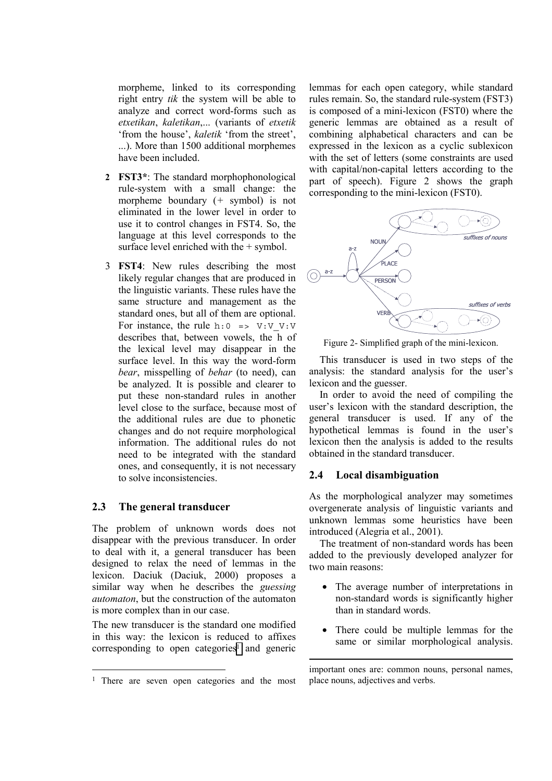morpheme, linked to its corresponding right entry *tik* the system will be able to analyze and correct word-forms such as *etxetikan*, *kaletikan*,... (variants of *etxetik* 'from the house', *kaletik* 'from the street', ...). More than 1500 additional morphemes have been included.

- **2 FST3\***: The standard morphophonological rule-system with a small change: the morpheme boundary (*+* symbol) is not eliminated in the lower level in order to use it to control changes in FST4. So, the language at this level corresponds to the surface level enriched with the + symbol.
- 3 **FST4**: New rules describing the most likely regular changes that are produced in the linguistic variants. These rules have the same structure and management as the standard ones, but all of them are optional. For instance, the rule h:  $0 \implies V:V:V:V$ describes that, between vowels, the h of the lexical level may disappear in the surface level. In this way the word-form *bear*, misspelling of *behar* (to need), can be analyzed. It is possible and clearer to put these non-standard rules in another level close to the surface, because most of the additional rules are due to phonetic changes and do not require morphological information. The additional rules do not need to be integrated with the standard ones, and consequently, it is not necessary to solve inconsistencies.

#### **2.3 The general transducer**

 $\overline{a}$ 

The problem of unknown words does not disappear with the previous transducer. In order to deal with it, a general transducer has been designed to relax the need of lemmas in the lexicon. Daciuk (Daciuk, 2000) proposes a similar way when he describes the *guessing automaton*, but the construction of the automaton is more complex than in our case.

The new transducer is the standard one modified in this way: the lexicon is reduced to affixes corresponding to open categories<sup>1</sup> and generic lemmas for each open category, while standard rules remain. So, the standard rule-system (FST3) is composed of a mini-lexicon (FST0) where the generic lemmas are obtained as a result of combining alphabetical characters and can be expressed in the lexicon as a cyclic sublexicon with the set of letters (some constraints are used with capital/non-capital letters according to the part of speech). Figure 2 shows the graph corresponding to the mini-lexicon (FST0).



Figure 2- Simplified graph of the mini-lexicon.

This transducer is used in two steps of the analysis: the standard analysis for the user's lexicon and the guesser.

In order to avoid the need of compiling the user's lexicon with the standard description, the general transducer is used. If any of the hypothetical lemmas is found in the user's lexicon then the analysis is added to the results obtained in the standard transducer.

#### **2.4 Local disambiguation**

-

As the morphological analyzer may sometimes overgenerate analysis of linguistic variants and unknown lemmas some heuristics have been introduced (Alegria et al., 2001).

The treatment of non-standard words has been added to the previously developed analyzer for two main reasons:

- The average number of interpretations in non-standard words is significantly higher than in standard words.
- There could be multiple lemmas for the same or similar morphological analysis.

<sup>&</sup>lt;sup>1</sup> There are seven open categories and the most

important ones are: common nouns, personal names, place nouns, adjectives and verbs.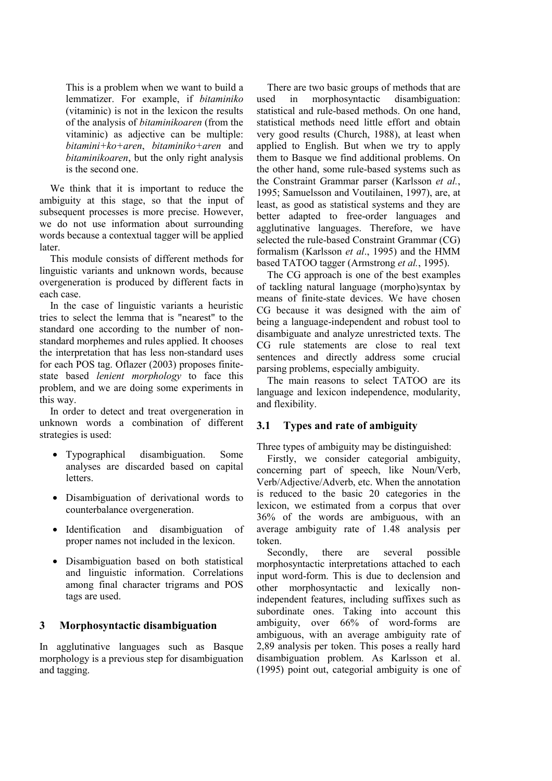This is a problem when we want to build a lemmatizer. For example, if *bitaminiko* (vitaminic) is not in the lexicon the results of the analysis of *bitaminikoaren* (from the vitaminic) as adjective can be multiple: *bitamini+ko+aren*, *bitaminiko+aren* and *bitaminikoaren*, but the only right analysis is the second one.

We think that it is important to reduce the ambiguity at this stage, so that the input of subsequent processes is more precise. However, we do not use information about surrounding words because a contextual tagger will be applied later.

This module consists of different methods for linguistic variants and unknown words, because overgeneration is produced by different facts in each case.

In the case of linguistic variants a heuristic tries to select the lemma that is "nearest" to the standard one according to the number of nonstandard morphemes and rules applied. It chooses the interpretation that has less non-standard uses for each POS tag. Oflazer (2003) proposes finitestate based *lenient morphology* to face this problem, and we are doing some experiments in this way.

In order to detect and treat overgeneration in unknown words a combination of different strategies is used:

- Typographical disambiguation. Some analyses are discarded based on capital letters.
- Disambiguation of derivational words to counterbalance overgeneration.
- Identification and disambiguation of proper names not included in the lexicon.
- Disambiguation based on both statistical and linguistic information. Correlations among final character trigrams and POS tags are used.

#### **3 Morphosyntactic disambiguation**

In agglutinative languages such as Basque morphology is a previous step for disambiguation and tagging.

There are two basic groups of methods that are used in morphosyntactic disambiguation: statistical and rule-based methods. On one hand, statistical methods need little effort and obtain very good results (Church, 1988), at least when applied to English. But when we try to apply them to Basque we find additional problems. On the other hand, some rule-based systems such as the Constraint Grammar parser (Karlsson *et al.*, 1995; Samuelsson and Voutilainen, 1997), are, at least, as good as statistical systems and they are better adapted to free-order languages and agglutinative languages. Therefore, we have selected the rule-based Constraint Grammar (CG) formalism (Karlsson *et al*., 1995) and the HMM based TATOO tagger (Armstrong *et al.*, 1995).

The CG approach is one of the best examples of tackling natural language (morpho)syntax by means of finite-state devices. We have chosen CG because it was designed with the aim of being a language-independent and robust tool to disambiguate and analyze unrestricted texts. The CG rule statements are close to real text sentences and directly address some crucial parsing problems, especially ambiguity.

The main reasons to select TATOO are its language and lexicon independence, modularity, and flexibility.

#### **3.1 Types and rate of ambiguity**

Three types of ambiguity may be distinguished:

Firstly, we consider categorial ambiguity, concerning part of speech, like Noun/Verb, Verb/Adjective/Adverb, etc. When the annotation is reduced to the basic 20 categories in the lexicon, we estimated from a corpus that over 36% of the words are ambiguous, with an average ambiguity rate of 1.48 analysis per token.

Secondly, there are several possible morphosyntactic interpretations attached to each input word-form. This is due to declension and other morphosyntactic and lexically nonindependent features, including suffixes such as subordinate ones. Taking into account this ambiguity, over 66% of word-forms are ambiguous, with an average ambiguity rate of 2,89 analysis per token. This poses a really hard disambiguation problem. As Karlsson et al. (1995) point out, categorial ambiguity is one of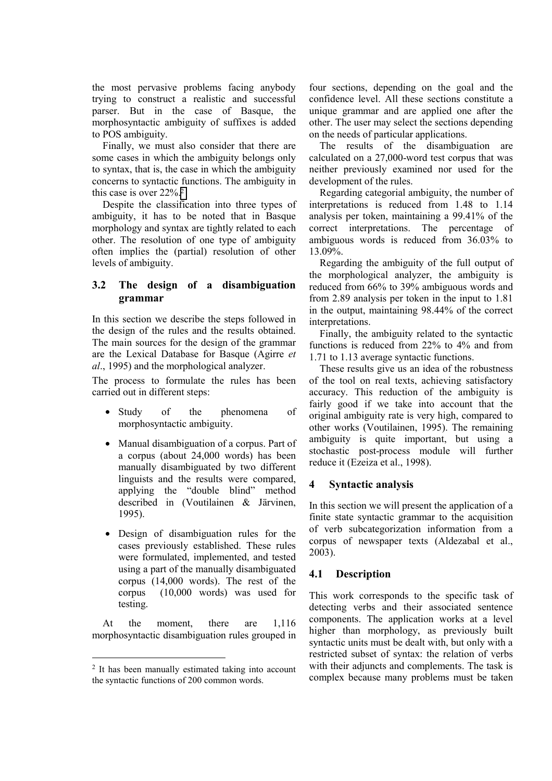the most pervasive problems facing anybody trying to construct a realistic and successful parser. But in the case of Basque, the morphosyntactic ambiguity of suffixes is added to POS ambiguity.

Finally, we must also consider that there are some cases in which the ambiguity belongs only to syntax, that is, the case in which the ambiguity concerns to syntactic functions. The ambiguity in this case is over 22%.2

Despite the classification into three types of ambiguity, it has to be noted that in Basque morphology and syntax are tightly related to each other. The resolution of one type of ambiguity often implies the (partial) resolution of other levels of ambiguity.

# **3.2 The design of a disambiguation grammar**

In this section we describe the steps followed in the design of the rules and the results obtained. The main sources for the design of the grammar are the Lexical Database for Basque (Agirre *et al*., 1995) and the morphological analyzer.

The process to formulate the rules has been carried out in different steps:

- Study of the phenomena of morphosyntactic ambiguity.
- Manual disambiguation of a corpus. Part of a corpus (about 24,000 words) has been manually disambiguated by two different linguists and the results were compared, applying the "double blind" method described in (Voutilainen & Järvinen, 1995).
- Design of disambiguation rules for the cases previously established. These rules were formulated, implemented, and tested using a part of the manually disambiguated corpus (14,000 words). The rest of the corpus (10,000 words) was used for testing.

At the moment, there are 1,116 morphosyntactic disambiguation rules grouped in

 $\overline{a}$ 

four sections, depending on the goal and the confidence level. All these sections constitute a unique grammar and are applied one after the other. The user may select the sections depending on the needs of particular applications.

The results of the disambiguation are calculated on a 27,000-word test corpus that was neither previously examined nor used for the development of the rules.

Regarding categorial ambiguity, the number of interpretations is reduced from 1.48 to 1.14 analysis per token, maintaining a 99.41% of the correct interpretations. The percentage of ambiguous words is reduced from 36.03% to 13.09%.

Regarding the ambiguity of the full output of the morphological analyzer, the ambiguity is reduced from 66% to 39% ambiguous words and from 2.89 analysis per token in the input to 1.81 in the output, maintaining 98.44% of the correct interpretations.

Finally, the ambiguity related to the syntactic functions is reduced from 22% to 4% and from 1.71 to 1.13 average syntactic functions.

These results give us an idea of the robustness of the tool on real texts, achieving satisfactory accuracy. This reduction of the ambiguity is fairly good if we take into account that the original ambiguity rate is very high, compared to other works (Voutilainen, 1995). The remaining ambiguity is quite important, but using a stochastic post-process module will further reduce it (Ezeiza et al., 1998).

# **4 Syntactic analysis**

In this section we will present the application of a finite state syntactic grammar to the acquisition of verb subcategorization information from a corpus of newspaper texts (Aldezabal et al., 2003).

#### **4.1 Description**

This work corresponds to the specific task of detecting verbs and their associated sentence components. The application works at a level higher than morphology, as previously built syntactic units must be dealt with, but only with a restricted subset of syntax: the relation of verbs with their adjuncts and complements. The task is complex because many problems must be taken

<sup>2</sup> It has been manually estimated taking into account the syntactic functions of 200 common words.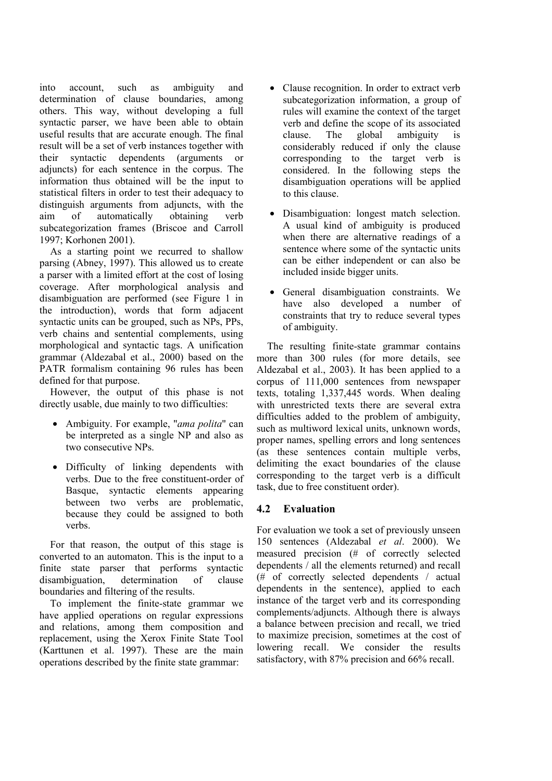into account, such as ambiguity and determination of clause boundaries, among others. This way, without developing a full syntactic parser, we have been able to obtain useful results that are accurate enough. The final result will be a set of verb instances together with their syntactic dependents (arguments or adjuncts) for each sentence in the corpus. The information thus obtained will be the input to statistical filters in order to test their adequacy to distinguish arguments from adjuncts, with the aim of automatically obtaining verb subcategorization frames (Briscoe and Carroll 1997; Korhonen 2001).

As a starting point we recurred to shallow parsing (Abney, 1997). This allowed us to create a parser with a limited effort at the cost of losing coverage. After morphological analysis and disambiguation are performed (see Figure 1 in the introduction), words that form adjacent syntactic units can be grouped, such as NPs, PPs, verb chains and sentential complements, using morphological and syntactic tags. A unification grammar (Aldezabal et al., 2000) based on the PATR formalism containing 96 rules has been defined for that purpose.

However, the output of this phase is not directly usable, due mainly to two difficulties:

- Ambiguity. For example, "*ama polita*" can be interpreted as a single NP and also as two consecutive NPs.
- Difficulty of linking dependents with verbs. Due to the free constituent-order of Basque, syntactic elements appearing between two verbs are problematic, because they could be assigned to both verbs.

For that reason, the output of this stage is converted to an automaton. This is the input to a finite state parser that performs syntactic disambiguation, determination of clause boundaries and filtering of the results.

To implement the finite-state grammar we have applied operations on regular expressions and relations, among them composition and replacement, using the Xerox Finite State Tool (Karttunen et al. 1997). These are the main operations described by the finite state grammar:

- Clause recognition. In order to extract verb subcategorization information, a group of rules will examine the context of the target verb and define the scope of its associated clause. The global ambiguity is considerably reduced if only the clause corresponding to the target verb is considered. In the following steps the disambiguation operations will be applied to this clause.
- Disambiguation: longest match selection. A usual kind of ambiguity is produced when there are alternative readings of a sentence where some of the syntactic units can be either independent or can also be included inside bigger units.
- General disambiguation constraints. We have also developed a number of constraints that try to reduce several types of ambiguity.

The resulting finite-state grammar contains more than 300 rules (for more details, see Aldezabal et al., 2003). It has been applied to a corpus of 111,000 sentences from newspaper texts, totaling 1,337,445 words. When dealing with unrestricted texts there are several extra difficulties added to the problem of ambiguity, such as multiword lexical units, unknown words, proper names, spelling errors and long sentences (as these sentences contain multiple verbs, delimiting the exact boundaries of the clause corresponding to the target verb is a difficult task, due to free constituent order).

# **4.2 Evaluation**

For evaluation we took a set of previously unseen 150 sentences (Aldezabal *et al*. 2000). We measured precision (# of correctly selected dependents / all the elements returned) and recall (# of correctly selected dependents / actual dependents in the sentence), applied to each instance of the target verb and its corresponding complements/adjuncts. Although there is always a balance between precision and recall, we tried to maximize precision, sometimes at the cost of lowering recall. We consider the results satisfactory, with 87% precision and 66% recall.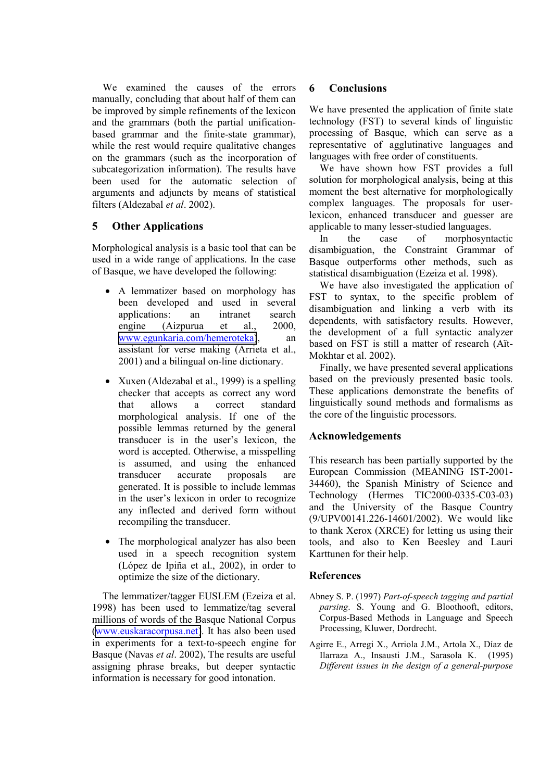We examined the causes of the errors manually, concluding that about half of them can be improved by simple refinements of the lexicon and the grammars (both the partial unificationbased grammar and the finite-state grammar), while the rest would require qualitative changes on the grammars (such as the incorporation of subcategorization information). The results have been used for the automatic selection of arguments and adjuncts by means of statistical filters (Aldezabal *et al*. 2002).

#### **5 Other Applications**

Morphological analysis is a basic tool that can be used in a wide range of applications. In the case of Basque, we have developed the following:

- A lemmatizer based on morphology has been developed and used in several applications: an intranet search engine (Aizpurua et al., 2000, [www.egunkaria.com/hemeroteka\)](http://www.egunkaria.com/hemeroteka), an assistant for verse making (Arrieta et al., 2001) and a bilingual on-line dictionary.
- Xuxen (Aldezabal et al., 1999) is a spelling checker that accepts as correct any word that allows a correct standard morphological analysis. If one of the possible lemmas returned by the general transducer is in the user's lexicon, the word is accepted. Otherwise, a misspelling is assumed, and using the enhanced transducer accurate proposals are generated. It is possible to include lemmas in the user's lexicon in order to recognize any inflected and derived form without recompiling the transducer.
- The morphological analyzer has also been used in a speech recognition system (López de Ipiña et al., 2002), in order to optimize the size of the dictionary.

The lemmatizer/tagger EUSLEM (Ezeiza et al. 1998) has been used to lemmatize/tag several millions of words of the Basque National Corpus ([www.euskaracorpusa.net\)](http://www.euskaracorpusa.net/). It has also been used in experiments for a text-to-speech engine for Basque (Navas *et al*. 2002), The results are useful assigning phrase breaks, but deeper syntactic information is necessary for good intonation.

#### **6 Conclusions**

We have presented the application of finite state technology (FST) to several kinds of linguistic processing of Basque, which can serve as a representative of agglutinative languages and languages with free order of constituents.

We have shown how FST provides a full solution for morphological analysis, being at this moment the best alternative for morphologically complex languages. The proposals for userlexicon, enhanced transducer and guesser are applicable to many lesser-studied languages.

In the case of morphosyntactic disambiguation, the Constraint Grammar of Basque outperforms other methods, such as statistical disambiguation (Ezeiza et al. 1998).

We have also investigated the application of FST to syntax, to the specific problem of disambiguation and linking a verb with its dependents, with satisfactory results. However, the development of a full syntactic analyzer based on FST is still a matter of research (Aït-Mokhtar et al. 2002).

Finally, we have presented several applications based on the previously presented basic tools. These applications demonstrate the benefits of linguistically sound methods and formalisms as the core of the linguistic processors.

# **Acknowledgements**

This research has been partially supported by the European Commission (MEANING IST-2001- 34460), the Spanish Ministry of Science and Technology (Hermes TIC2000-0335-C03-03) and the University of the Basque Country (9/UPV00141.226-14601/2002). We would like to thank Xerox (XRCE) for letting us using their tools, and also to Ken Beesley and Lauri Karttunen for their help.

# **References**

- Abney S. P. (1997) *Part-of-speech tagging and partial parsing*. S. Young and G. Bloothooft, editors, Corpus-Based Methods in Language and Speech Processing, Kluwer, Dordrecht.
- Agirre E., Arregi X., Arriola J.M., Artola X., Díaz de Ilarraza A., Insausti J.M., Sarasola K. (1995) *Different issues in the design of a general-purpose*